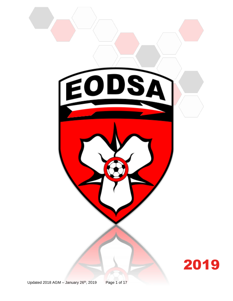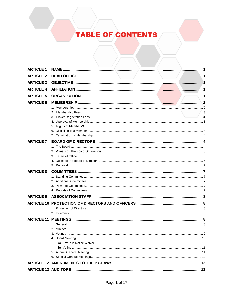# **TABLE OF CONTENTS**

| <b>ARTICLE 1</b>  |                        |  |
|-------------------|------------------------|--|
| <b>ARTICLE 2</b>  |                        |  |
| <b>ARTICLE 3</b>  |                        |  |
| <b>ARTICLE 4</b>  |                        |  |
| <b>ARTICLE 5</b>  |                        |  |
| <b>ARTICLE 6</b>  |                        |  |
|                   |                        |  |
|                   |                        |  |
|                   |                        |  |
|                   |                        |  |
|                   | 5. Rights of Members 3 |  |
|                   |                        |  |
|                   |                        |  |
| <b>ARTICLE 7</b>  |                        |  |
|                   |                        |  |
|                   |                        |  |
|                   |                        |  |
|                   |                        |  |
|                   |                        |  |
| <b>ARTICLE 8</b>  |                        |  |
|                   |                        |  |
|                   |                        |  |
|                   |                        |  |
|                   |                        |  |
| <b>ARTICLE 9</b>  |                        |  |
|                   |                        |  |
|                   |                        |  |
|                   |                        |  |
| <b>ARTICLE 11</b> |                        |  |
|                   |                        |  |
|                   |                        |  |
|                   |                        |  |
|                   |                        |  |
|                   |                        |  |
|                   |                        |  |
|                   |                        |  |
|                   |                        |  |
|                   |                        |  |
|                   |                        |  |
|                   |                        |  |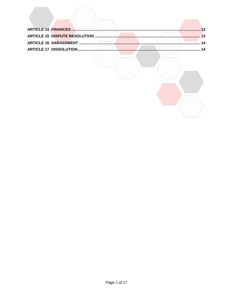$\sqrt{2}$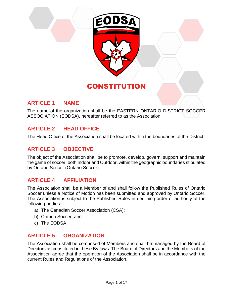

### **ARTICLE 1 NAME**

The name of the organization shall be the EASTERN ONTARIO DISTRICT SOCCER ASSOCIATION (EODSA), hereafter referred to as the Association.

# **ARTICLE 2 HEAD OFFICE**

The Head Office of the Association shall be located within the boundaries of the District.

### **ARTICLE 3 OBJECTIVE**

The object of the Association shall be to promote, develop, govern, support and maintain the game of soccer, both Indoor and Outdoor, within the geographic boundaries stipulated by Ontario Soccer (Ontario Soccer).

### **ARTICLE 4 AFFILIATION**

The Association shall be a Member of and shall follow the Published Rules of Ontario Soccer unless a Notice of Motion has been submitted and approved by Ontario Soccer. The Association is subject to the Published Rules in declining order of authority of the following bodies:

- a) The Canadian Soccer Association (CSA);
- b) Ontario Soccer; and
- c) The EODSA.

### **ARTICLE 5 ORGANIZATION**

The Association shall be composed of Members and shall be managed by the Board of Directors as constituted in these By-laws. The Board of Directors and the Members of the Association agree that the operation of the Association shall be in accordance with the current Rules and Regulations of the Association.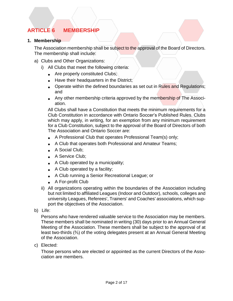# **ARTICLE 6 MEMBERSHIP**

#### **1. Membership**

The Association membership shall be subject to the approval of the Board of Directors. The membership shall include:

- a) Clubs and Other Organizations:
	- i) All Clubs that meet the following criteria:
		- Are properly constituted Clubs;
		- Have their headquarters in the District;
		- Operate within the defined boundaries as set out in Rules and Regulations; and
		- Any other membership criteria approved by the membership of The Association.

All Clubs shall have a Constitution that meets the minimum requirements for a Club Constitution in accordance with Ontario Soccer's Published Rules. Clubs which may apply, in writing, for an exemption from any minimum requirement for a Club Constitution, subject to the approval of the Board of Directors of both The Association and Ontario Soccer are:

- A Professional Club that operates Professional Team(s) only;
- A Club that operates both Professional and Amateur Teams;
- A Social Club:
- A Service Club:
- A Club operated by a municipality;
- A Club operated by a facility;
- A Club running a Senior Recreational League; or
- A For-profit Club
- ii) All organizations operating within the boundaries of the Association including but not limited to affiliated Leagues (Indoor and Outdoor), schools, colleges and university Leagues, Referees', Trainers' and Coaches' associations, which support the objectives of the Association.
- b) Life:

Persons who have rendered valuable service to the Association may be members. These members shall be nominated in writing (30) days prior to an Annual General Meeting of the Association. These members shall be subject to the approval of at least two-thirds (⅔) of the voting delegates present at an Annual General Meeting of the Association.

c) Elected:

Those persons who are elected or appointed as the current Directors of the Association are members.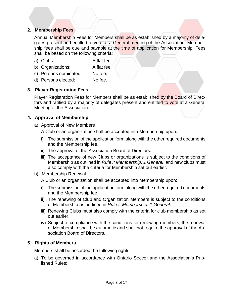#### **2. Membership Fees**

Annual Membership Fees for Members shall be as established by a majority of delegates present and entitled to vote at a General meeting of the Association. Membership fees shall be due and payable at the time of application for Membership. Fees shall be based on the following criteria:

- a) Clubs: A flat fee.
- b) Organizations: A flat fee.
- c) Persons nominated: No fee.
- d) Persons elected: No fee.

#### **3. Player Registration Fees**

Player Registration Fees for Members shall be as established by the Board of Directors and ratified by a majority of delegates present and entitled to vote at a General Meeting of the Association.

#### **4. Approval of Membership**

a) Approval of New Members

A Club or an organization shall be accepted into Membership upon:

- i) The submission of the application form along with the other required documents and the Membership fee.
- ii) The approval of the Association Board of Directors.
- iii) The acceptance of new Clubs or organizations is subject to the conditions of Membership as outlined in *Rule I: Membership: 1 General*; and new clubs must also comply with the criteria for Membership set out earlier.
- b) Membership Renewal

A Club or an organization shall be accepted into Membership upon:

- i) The submission of the application form along with the other required documents and the Membership fee.
- ii) The renewing of Club and Organization Members is subject to the conditions of Membership as outlined in *Rule I: Membership: 1 General.*
- iii) Renewing Clubs must also comply with the criteria for club membership as set out earlier.
- iv) Subject to compliance with the conditions for renewing members, the renewal of Membership shall be automatic and shall not require the approval of the Association Board of Directors.

#### **5. Rights of Members**

Members shall be accorded the following rights:

a) To be governed in accordance with Ontario Soccer and the Association's Published Rules;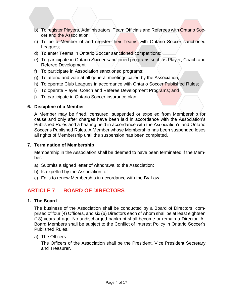- b) To register Players, Administrators, Team Officials and Referees with Ontario Soccer and the Association;
- c) To be a Member of and register their Teams with Ontario Soccer sanctioned Leagues;
- d) To enter Teams in Ontario Soccer sanctioned competitions;
- e) To participate in Ontario Soccer sanctioned programs such as Player, Coach and Referee Development;
- f) To participate in Association sanctioned programs;
- g) To attend and vote at all general meetings called by the Association;
- h) To operate Club Leagues in accordance with Ontario Soccer Published Rules;
- i) To operate Player, Coach and Referee Development Programs; and
- j) To participate in Ontario Soccer insurance plan.

#### **6. Discipline of a Member**

A Member may be fined, censured, suspended or expelled from Membership for cause and only after charges have been laid in accordance with the Association's Published Rules and a hearing held in accordance with the Association's and Ontario Soccer's Published Rules. A Member whose Membership has been suspended loses all rights of Membership until the suspension has been completed.

#### **7. Termination of Membership**

Membership in the Association shall be deemed to have been terminated if the Member:

- a) Submits a signed letter of withdrawal to the Association;
- b) Is expelled by the Association; or
- c) Fails to renew Membership in accordance with the By-Law.

# **ARTICLE 7 BOARD OF DIRECTORS**

#### **1. The Board**

The business of the Association shall be conducted by a Board of Directors, comprised of four (4) Officers, and six (6) Directors each of whom shall be at least eighteen (18) years of age. No undischarged bankrupt shall become or remain a Director. All Board Members shall be subject to the Conflict of Interest Policy in Ontario Soccer's Published Rules.

#### a) The Officers

The Officers of the Association shall be the President, Vice President Secretary and Treasurer.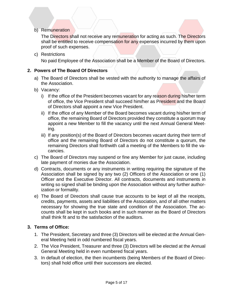b) Remuneration

The Directors shall not receive any remuneration for acting as such. The Directors shall be entitled to receive compensation for any expenses incurred by them upon proof of such expenses.

c) Restrictions

No paid Employee of the Association shall be a Member of the Board of Directors.

#### **2. Powers of The Board Of Directors**

- a) The Board of Directors shall be vested with the authority to manage the affairs of the Association.
- b) Vacancy:
	- i) If the office of the President becomes vacant for any reason during his/her term of office, the Vice President shall succeed him/her as President and the Board of Directors shall appoint a new Vice President.
	- ii) If the office of any Member of the Board becomes vacant during his/her term of office, the remaining Board of Directors provided they constitute a quorum may appoint a new Member to fill the vacancy until the next Annual General Meeting.
	- iii) If any position(s) of the Board of Directors becomes vacant during their term of office and the remaining Board of Directors do not constitute a quorum, the remaining Directors shall forthwith call a meeting of the Members to fill the vacancies.
- c) The Board of Directors may suspend or fine any Member for just cause, including late payment of monies due the Association.
- d) Contracts, documents or any instruments in writing requiring the signature of the Association shall be signed by any two (2) Officers of the Association or one (1) Officer and the Executive Director. All contracts, documents and instruments in writing so signed shall be binding upon the Association without any further authorization or formality.
- e) The Board of Directors shall cause true accounts to be kept of all the receipts, credits, payments, assets and liabilities of the Association, and of all other matters necessary for showing the true state and condition of the Association. The accounts shall be kept in such books and in such manner as the Board of Directors shall think fit and to the satisfaction of the auditors.

#### **3. Terms of Office:**

- 1. The President, Secretary and three (3) Directors will be elected at the Annual General Meeting held in odd numbered fiscal years.
- 2. The Vice President, Treasurer and three (3) Directors will be elected at the Annual General Meeting held in even numbered fiscal years.
- 3. In default of election, the then incumbents (being Members of the Board of Directors) shall hold office until their successors are elected.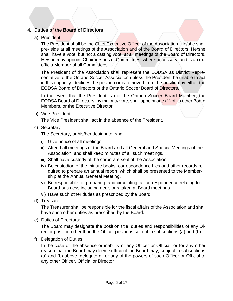#### **4. Duties of the Board of Directors**

#### a) President

The President shall be the Chief Executive Officer of the Association. He/she shall pre- side at all meetings of the Association and of the Board of Directors. He/she shall have a vote, but not a casting vote, at all meetings of the Board of Directors. He/she may appoint Chairpersons of Committees, where necessary, and is an exofficio Member of all Committees.

The President of the Association shall represent the EODSA as District Representative to the Ontario Soccer Association unless the President be unable to act in this capacity, declines the position or is removed from the position by either the EODSA Board of Directors or the Ontario Soccer Board of Directors.

In the event that the President is not the Ontario Soccer Board Member, the EODSA Board of Directors, by majority vote, shall appoint one (1) of its other Board Members, or the Executive Director.

b) Vice President

The Vice President shall act in the absence of the President.

c) Secretary

The Secretary, or his/her designate, shall:

- i) Give notice of all meetings.
- ii) Attend all meetings of the Board and all General and Special Meetings of the Association, and shall keep minutes of all such meetings.
- iii) Shall have custody of the corporate seal of the Association.
- iv) Be custodian of the minute books, correspondence files and other records required to prepare an annual report, which shall be presented to the Membership at the Annual General Meeting.
- v) Be responsible for preparing, and circulating, all correspondence relating to Board business including decisions taken at Board meetings.
- vi) Have such other duties as prescribed by the Board.
- d) Treasurer

The Treasurer shall be responsible for the fiscal affairs of the Association and shall have such other duties as prescribed by the Board.

e) Duties of Directors:

The Board may designate the position title, duties and responsibilities of any Director position other than the Officer positions set out in subsections (a) and (b)

f) Delegation of Duties

In the case of the absence or inability of any Officer or Official, or for any other reason that the Board may deem sufficient the Board may, subject to subsections (a) and (b) above, delegate all or any of the powers of such Officer or Official to any other Officer, Official or Director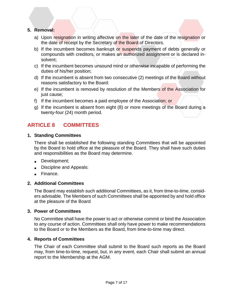#### **5. Removal:**

- a) Upon resignation in writing affective on the later of the date of the resignation or the date of receipt by the Secretary of the Board of Directors.
- b) If the incumbent becomes bankrupt or suspends payment of debts generally or compounds with creditors, or makes an authorized assignment or is declared insolvent;
- c) If the incumbent becomes unsound mind or otherwise incapable of performing the duties of his/her position;
- d) If the incumbent is absent from two consecutive (2) meetings of the Board without reasons satisfactory to the Board:
- e) If the incumbent is removed by resolution of the Members of the Association for just cause;
- f) If the incumbent becomes a paid employee of the Association; or
- g) If the incumbent is absent from eight (8) or more meetings of the Board during a twenty-four (24) month period.

# **ARTICLE 8 COMMITTEES**

#### **1. Standing Committees**

There shall be established the following standing Committees that will be appointed by the Board to hold office at the pleasure of the Board. They shall have such duties and responsibilities as the Board may determine.

- Development;
- Discipline and Appeals:
- Finance.

#### **2. Additional Committees**

The Board may establish such additional Committees, as it, from time-to-time, considers advisable. The Members of such Committees shall be appointed by and hold office at the pleasure of the Board

#### **3. Power of Committees**

No Committee shall have the power to act or otherwise commit or bind the Association to any course of action. Committees shall only have power to make recommendations to the Board or to the Members as the Board, from time-to-time may direct.

#### **4. Reports of Committees**

The Chair of each Committee shall submit to the Board such reports as the Board may, from time-to-time, request, but, in any event, each Chair shall submit an annual report to the Membership at the AGM.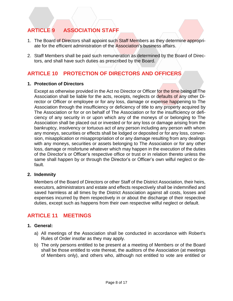# **ARTICLE 9 ASSOCIATION STAFF**

- 1. The Board of Directors shall appoint such Staff Members as they determine appropriate for the efficient administration of the Association's business affairs.
- 2. Staff Members shall be paid such remuneration as determined by the Board of Directors, and shall have such duties as prescribed by the Board.

# **ARTICLE 10 PROTECTION OF DIRECTORS AND OFFICERS**

#### **1. Protection of Directors**

Except as otherwise provided in the Act no Director or Officer for the time being of The Association shall be liable for the acts, receipts, neglects or defaults of any other Director or Officer or employee or for any loss, damage or expense happening to The Association through the insufficiency or deficiency of title to any property acquired by The Association or for or on behalf of The Association or for the insufficiency or deficiency of any security in or upon which any of the moneys of or belonging to The Association shall be placed out or invested or for any loss or damage arising from the bankruptcy, insolvency or tortuous act of any person including any person with whom any moneys, securities or effects shall be lodged or deposited or for any loss, conversion, misapplication or misappropriation of or any damage resulting from any dealings with any moneys, securities or assets belonging to The Association or for any other loss, damage or misfortune whatever which may happen in the execution of the duties of the Director's or Officer's respective office or trust or in relation thereto unless the same shall happen by or through the Director's or Officer's own wilful neglect or default.

#### **2. Indemnity**

Members of the Board of Directors or other Staff of the District Association, their heirs, executors, administrators and estate and effects respectively shall be indemnified and saved harmless at all times by the District Association against all costs, losses and expenses incurred by them respectively in or about the discharge of their respective duties, except such as happens from their own respective wilful neglect or default.

### **ARTICLE 11 MEETINGS**

#### **1. General:**

- a) All meetings of the Association shall be conducted in accordance with Robert's Rules of Order insofar as they may apply.
- b) The only persons entitled to be present at a meeting of Members or of the Board shall be those entitled to vote thereat, the auditors of the Association (at meetings of Members only), and others who, although not entitled to vote are entitled or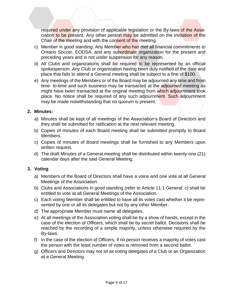required under any provision of applicable legislation or the By-laws of the Association to be present. Any other person may be admitted on the invitation of the Chair of the meeting and with the consent of the meeting.

- c) Member in good standing: Any Member who has met all financial commitments to Ontario Soccer, EODSA, and any subordinate organization for the present and preceding years and is not under suspension for any reason.
- d) All Clubs and organizations shall be required to be represented by an official spokesperson. Any Club or organization having been duly notified of the date and place that fails to attend a General meeting shall be subject to a fine of \$100.
- e) Any meetings of the Members or of the Board may be adjourned any time and from time- to-time and such business may be transacted at the adjourned meeting as might have been transacted at the original meeting from which adjournment took place. No notice shall be required of any such adjournment. Such adjournment may be made notwithstanding that no quorum is present.

#### **2. Minutes:**

- a) Minutes shall be kept of all meetings of the Association's Board of Directors and they shall be submitted for ratification at the next relevant meeting.
- b) Copies of minutes of each Board meeting shall be submitted promptly to Board Members.
- c) Copies of minutes of Board meetings shall be furnished to any Members upon written request.
- d) The draft Minutes of a General meeting shall be distributed within twenty-one (21) calendar days after the said General Meeting.

#### **3. Voting**

- a) Members of the Board of Directors shall have a voice and one vote at all General Meetings of the Association.
- b) Clubs and Associations in good standing (refer to Article 11:1 General: c) shall be entitled to vote at all General Meetings of the Association.
- c) Each voting Member shall be entitled to have all its votes cast whether it be represented by one or all its delegates but not by any other Member.
- d) The appropriate Member must name all delegates.
- e) At all meetings of the Association voting shall be by a show of hands, except in the case of the election of Officers, which shall be by secret ballot. Decisions shall be reached by the recording of a simple majority, unless otherwise required by the By-laws.
- f) In the case of the election of Officers, if no person receives a majority of votes cast the person with the least number of votes is removed from a second ballot.
- g) Officers and Directors may not sit as voting delegates of a Club or an Organization at a General Meeting.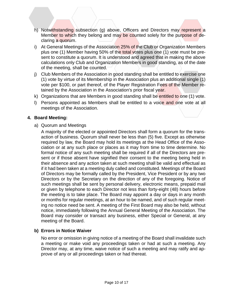- h) Notwithstanding subsection (g) above, Officers and Directors may represent a Member to which they belong and may be counted solely for the purpose of declaring a quorum.
- i) At General Meetings of the Association 25% of the Club or Organization Members plus one (1) Member having 50% of the total votes plus one (1) vote must be present to constitute a quorum. It is understood and agreed that in making the above calculations only Club and Organization Members in good standing, as of the date of the meeting, shall be counted.
- j) Club Members of the Association in good standing shall be entitled to exercise one (1) vote by virtue of its Membership in the Association plus an additional single (1) vote per \$100, or part thereof, of the Player Registration Fees of the Member retained by the Association in the Association's prior fiscal year.
- k) Organizations that are Members in good standing shall be entitled to one (1) vote.
- l) Persons appointed as Members shall be entitled to a voice and one vote at all meetings of the Association.

#### **4. Board Meeting:**

a) Quorum and Meetings

A majority of the elected or appointed Directors shall form a quorum for the transaction of business. Quorum shall never be less than (5) five. Except as otherwise required by law, the Board may hold its meetings at the Head Office of the Association or at any such place or places as it may from time to time determine. No formal notice of any such meeting shall be required if all of the Directors are present or if those absent have signified their consent to the meeting being held in their absence and any action taken at such meeting shall be valid and effectual as if it had been taken at a meeting duly called and constituted. Meetings of the Board of Directors may be formally called by the President, Vice President or by any two Directors or by the Secretary on the direction of any of the foregoing. Notice of such meetings shall be sent by personal delivery, electronic means, prepaid mail or given by telephone to each Director not less than forty-eight (48) hours before the meeting is to take place. The Board may appoint a day or days in any month or months for regular meetings, at an hour to be named, and of such regular meeting no notice need be sent. A meeting of the First Board may also be held, without notice, immediately following the Annual General Meeting of the Association. The Board may consider or transact any business, either Special or General, at any meeting of the Board.

### **b) Errors in Notice Waiver**

No error or omission in giving notice of a meeting of the Board shall invalidate such a meeting or make void any proceedings taken or had at such a meeting. Any Director may, at any time, waive notice of such a meeting and may ratify and approve of any or all proceedings taken or had thereat.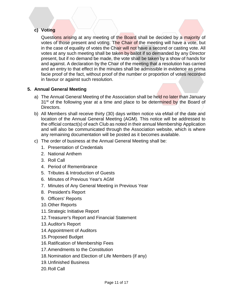### **c) Voting**

Questions arising at any meeting of the Board shall be decided by a majority of votes of those present and voting. The Chair of the meeting will have a vote, but in the case of equality of votes the Chair will not have a second or casting vote. All votes at any such meeting shall be taken by ballot if so demanded by any Director present, but if no demand be made, the vote shall be taken by a show of hands for and against. A declaration by the Chair of the meeting that a resolution has carried and an entry to that effect in the minutes shall be admissible in evidence as prima facie proof of the fact, without proof of the number or proportion of votes recorded in favour or against such resolution.

#### **5. Annual General Meeting**

- a) The Annual General Meeting of the Association shall be held no later than January 31<sup>st</sup> of the following year at a time and place to be determined by the Board of Directors.
- b) All Members shall receive thirty (30) days written notice via eMail of the date and location of the Annual General Meeting (AGM). This notice will be addressed to the official contact(s) of each Club as noted in their annual Membership Application and will also be communicated through the Association website, which is where any remaining documentation will be posted as it becomes available.
- c) The order of business at the Annual General Meeting shall be:
	- 1. Presentation of Credentials
	- 2. National Anthem
	- 3. Roll Call
	- 4. Period of Remembrance
	- 5. Tributes & Introduction of Guests
	- 6. Minutes of Previous Year's AGM
	- 7. Minutes of Any General Meeting in Previous Year
	- 8. President's Report
	- 9. Officers' Reports
	- 10.Other Reports
	- 11.Strategic Initiative Report
	- 12.Treasurer's Report and Financial Statement
	- 13.Auditor's Report
	- 14.Appointment of Auditors
	- 15.Proposed Budget
	- 16.Ratification of Membership Fees
	- 17.Amendments to the Constitution
	- 18.Nomination and Election of Life Members (if any)
	- 19.Unfinished Business
	- 20.Roll Call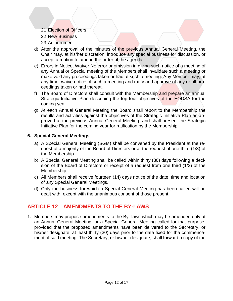- 21.Election of Officers
- 22.New Business
- 23.Adjournment
- d) After the approval of the minutes of the previous Annual General Meeting, the Chair may, at his/her discretion, introduce any special business for discussion, or accept a motion to amend the order of the agenda.
- e) Errors in Notice, Waiver No error or omission in giving such notice of a meeting of any Annual or Special meeting of the Members shall invalidate such a meeting or make void any proceedings taken or had at such a meeting. Any Member may, at any time, waive notice of such a meeting and ratify and approve of any or all proceedings taken or had thereat.
- f) The Board of Directors shall consult with the Membership and prepare an annual Strategic Initiative Plan describing the top four objectives of the EODSA for the coming year.
- g) At each Annual General Meeting the Board shall report to the Membership the results and activities against the objectives of the Strategic Initiative Plan as approved at the previous Annual General Meeting, and shall present the Strategic Initiative Plan for the coming year for ratification by the Membership.

#### **6. Special General Meetings**

- a) A Special General Meeting (SGM) shall be convened by the President at the request of a majority of the Board of Directors or at the request of one third (1/3) of the Membership.
- b) A Special General Meeting shall be called within thirty (30) days following a decision of the Board of Directors or receipt of a request from one third (1/3) of the Membership.
- c) All Members shall receive fourteen (14) days notice of the date, time and location of any Special General Meetings.
- d) Only the business for which a Special General Meeting has been called will be dealt with, except with the unanimous consent of those present.

### **ARTICLE 12 AMENDMENTS TO THE BY-LAWS**

1. Members may propose amendments to the By- laws which may be amended only at an Annual General Meeting, or a Special General Meeting called for that purpose, provided that the proposed amendments have been delivered to the Secretary, or his/her designate, at least thirty (30) days prior to the date fixed for the commencement of said meeting. The Secretary, or his/her designate, shall forward a copy of the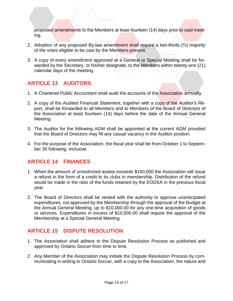proposed amendments to the Members at least fourteen (14) days prior to said meeting.

- 2. Adoption of any proposed By-law amendment shall require a two-thirds (⅔) majority of the votes eligible to be cast by the Members present.
- 3. A copy of every amendment approved at a General or Special Meeting shall be forwarded by the Secretary, or his/her designate, to the Members within twenty-one (21) calendar days of the meeting.

# **ARTICLE 13 AUDITORS**

- 1. A Chartered Public Accountant shall audit the accounts of the Association annually.
- 2. A copy of the Audited Financial Statement, together with a copy of the Auditor's Report, shall be forwarded to all Members and to Members of the Board of Directors of the Association at least fourteen (14) days before the date of the Annual General Meeting.
- 3. The Auditor for the following AGM shall be appointed at the current AGM provided that the Board of Directors may fill any casual vacancy in the Auditor position.
- 4. For the purpose of the Association, the fiscal year shall be from October 1 to September 30 following, inclusive.

# **ARTICLE 14 FINANCES**

- 1. When the amount of unrestricted assets exceeds \$150,000 the Association will issue a refund in the form of a credit to its clubs in membership. Distribution of the refund would be made in the ratio of the funds retained by the EODSA in the previous fiscal year.
- 2. The Board of Directors shall be vested with the authority to approve unanticipated expenditures, not approved by the Membership through the approval of the Budget at the Annual General Meeting, up to \$10,000.00 for any one-time acquisition of goods or services. Expenditures in excess of \$10,000.00 shall require the approval of the Membership at a Special General Meeting.

# **ARTICLE 15 DISPUTE RESOLUTION**

- 1. The Association shall adhere to the Dispute Resolution Process as published and approved by Ontario Soccer from time to time.
- 2. Any Member of the Association may initiate the Dispute Resolution Process by communicating in writing to Ontario Soccer, with a copy to the Association, the nature and